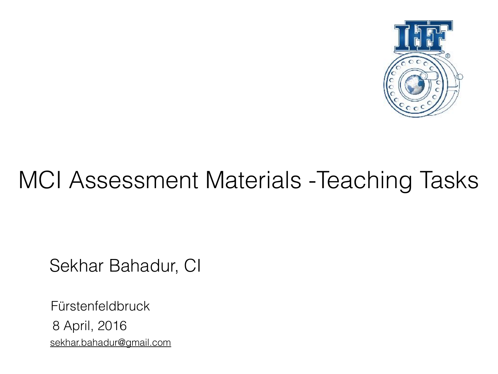

## MCI Assessment Materials -Teaching Tasks

Sekhar Bahadur, CI

Fürstenfeldbruck 8 April, 2016 [sekhar.bahadur@gmail.com](mailto:sekhar.bahadur@gmail.com)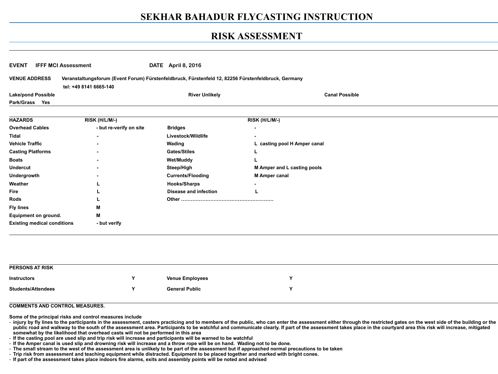#### **RISK ASSESSMENT**

| <b>VENUE ADDRESS</b><br>Veranstaltungsforum (Event Forum) Fürstenfeldbruck, Fürstenfeld 12, 82256 Fürstenfeldbruck, Germany |                         |                              |                                    |  |
|-----------------------------------------------------------------------------------------------------------------------------|-------------------------|------------------------------|------------------------------------|--|
| <b>Lake/pond Possible</b>                                                                                                   | tel: +49 8141 6665-140  | <b>River Unlikely</b>        | <b>Canal Possible</b>              |  |
| Park/Grass Yes                                                                                                              |                         |                              |                                    |  |
|                                                                                                                             |                         |                              |                                    |  |
| <b>HAZARDS</b>                                                                                                              | RISK (H/L/M/-)          |                              | RISK (H/L/M/-)                     |  |
| <b>Overhead Cables</b>                                                                                                      | - but re-verify on site | <b>Bridges</b>               |                                    |  |
| <b>Tidal</b>                                                                                                                | $\blacksquare$          | Livestock/Wildlife           |                                    |  |
| <b>Vehicle Traffic</b>                                                                                                      |                         | Wading                       | L casting pool H Amper canal       |  |
| <b>Casting Platforms</b>                                                                                                    |                         | <b>Gates/Stiles</b>          |                                    |  |
| <b>Boats</b>                                                                                                                |                         | <b>Wet/Muddy</b>             |                                    |  |
| <b>Undercut</b>                                                                                                             |                         | Steep/High                   | <b>M Amper and L casting pools</b> |  |
| <b>Undergrowth</b>                                                                                                          |                         | <b>Currents/Flooding</b>     | <b>M Amper canal</b>               |  |
| Weather                                                                                                                     |                         | <b>Hooks/Sharps</b>          |                                    |  |
| <b>Fire</b>                                                                                                                 |                         | <b>Disease and infection</b> |                                    |  |
| <b>Rods</b>                                                                                                                 |                         |                              |                                    |  |
| <b>Fly lines</b>                                                                                                            | м                       |                              |                                    |  |
| <b>Equipment on ground.</b>                                                                                                 | M                       |                              |                                    |  |
| <b>Existing medical conditions</b>                                                                                          | - but verify            |                              |                                    |  |
|                                                                                                                             |                         |                              |                                    |  |
| <b>PERSONS AT RISK</b>                                                                                                      |                         |                              |                                    |  |
| <b>Instructors</b>                                                                                                          | Y                       | <b>Venue Employees</b>       | Y                                  |  |
| <b>Students/Attendees</b>                                                                                                   | Y                       | <b>General Public</b>        | Y                                  |  |

**Some of the principal risks and control measures include** 

- injury by fly lines to the participants in the assessment, casters practicing and to members of the public, who can enter the assessment either through the restricted gates on the west side of the building or the public road and walkway to the south of the assessment area. Participants to be watchful and communicate clearly. If part of the assessment takes place in the courtyard area this risk will increase, mitigated **somewhat by the likelihood that overhead casts will not be performed in this area** 

- **If the casting pool are used slip and trip risk will increase and participants will be warned to be watchful**
- **If the Amper canal is used slip and drowning risk will increase and a throw rope will be on hand. Wading not to be done.**
- **The small stream to the west of the assessment area is unlikely to be part of the assessment but if approached normal precautions to be taken**
- **Trip risk from assessment and teaching equipment while distracted. Equipment to be placed together and marked with bright cones.**
- **If part of the assessment takes place indoors fire alarms, exits and assembly points will be noted and advised**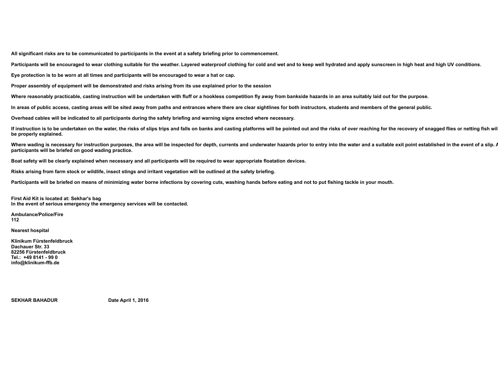**All significant risks are to be communicated to participants in the event at a safety briefing prior to commencement.** 

Participants will be encouraged to wear clothing suitable for the weather. Layered waterproof clothing for cold and wet and to keep well hydrated and apply sunscreen in high heat and high UV conditions.

**Eye protection is to be worn at all times and participants will be encouraged to wear a hat or cap.** 

**Proper assembly of equipment will be demonstrated and risks arising from its use explained prior to the session** 

Where reasonably practicable, casting instruction will be undertaken with fluff or a hookless competition fly away from bankside hazards in an area suitably laid out for the purpose.

**In areas of public access, casting areas will be sited away from paths and entrances where there are clear sightlines for both instructors, students and members of the general public.** 

**Overhead cables will be indicated to all participants during the safety briefing and warning signs erected where necessary.** 

If instruction is to be undertaken on the water, the risks of slips trips and falls on banks and casting platforms will be pointed out and the risks of over reaching for the recovery of snagged flies or netting fish will **be properly explained.** 

Where wading is necessary for instruction purposes, the area will be inspected for depth, currents and underwater hazards prior to entry into the water and a suitable exit point established in the event of a slip. *i* **participants will be briefed on good wading practice.** 

**Boat safety will be clearly explained when necessary and all participants will be required to wear appropriate floatation devices.** 

**Risks arising from farm stock or wildlife, insect stings and irritant vegetation will be outlined at the safety briefing.** 

**Participants will be briefed on means of minimizing water borne infections by covering cuts, washing hands before eating and not to put fishing tackle in your mouth.** 

**First Aid Kit is located at: Sekhar's bag In the event of serious emergency the emergency services will be contacted.**

**Ambulance/Police/Fire 112** 

**Nearest hospital** 

**Klinikum Fürstenfeldbruck Dachauer Str. 33 82256 Fürstenfeldbruck Tel.: +49 8141 - 99 0 info@klinikum-ffb.de** 

SEKHAR BAHADUR Date April 1, 2016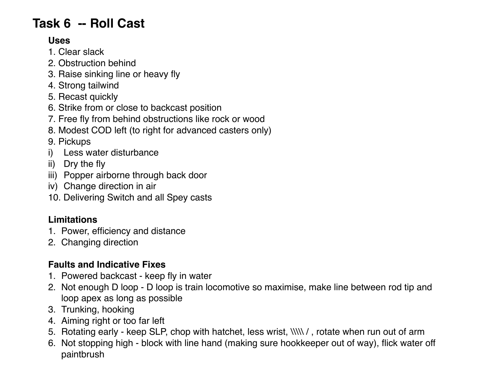### **Task 6 -- Roll Cast**

#### **Uses**

- 1. Clear slack
- 2. Obstruction behind
- 3. Raise sinking line or heavy fly
- 4. Strong tailwind
- 5. Recast quickly
- 6. Strike from or close to backcast position
- 7. Free fly from behind obstructions like rock or wood
- 8. Modest COD left (to right for advanced casters only)
- 9. Pickups
- i) Less water disturbance
- ii) Dry the fly
- iii) Popper airborne through back door
- iv) Change direction in air
- 10. Delivering Switch and all Spey casts

#### **Limitations**

- 1. Power, efficiency and distance
- 2. Changing direction

#### **Faults and Indicative Fixes**

- 1. Powered backcast keep fly in water
- 2. Not enough D loop D loop is train locomotive so maximise, make line between rod tip and loop apex as long as possible
- 3. Trunking, hooking
- 4. Aiming right or too far left
- 5. Rotating early keep SLP, chop with hatchet, less wrist, \\\\\ / , rotate when run out of arm
- 6. Not stopping high block with line hand (making sure hookkeeper out of way), flick water off paintbrush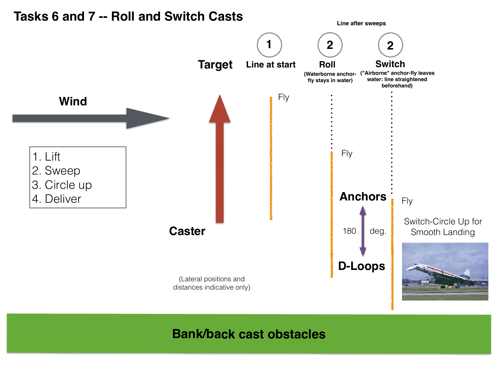

#### **Bank/back cast obstacles**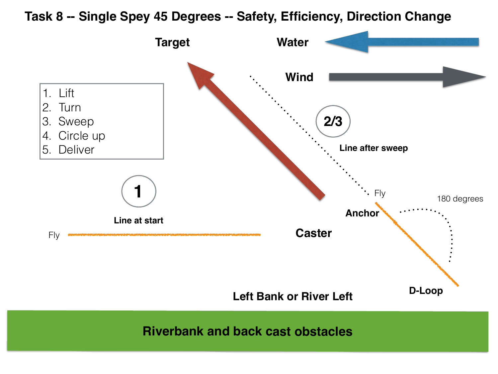#### **Task 8 -- Single Spey 45 Degrees -- Safety, Efficiency, Direction Change**

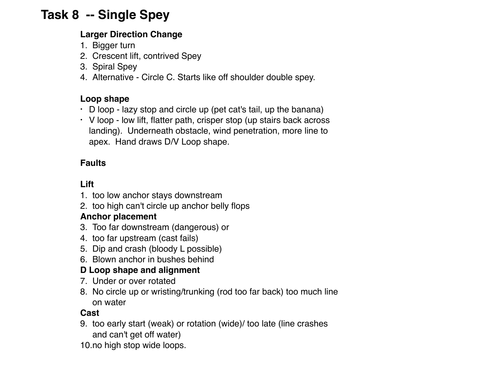### **Task 8 -- Single Spey**

#### **Larger Direction Change**

- 1. Bigger turn
- 2. Crescent lift, contrived Spey
- 3. Spiral Spey
- 4. Alternative Circle C. Starts like off shoulder double spey.

#### **Loop shape**

- $\cdot$  D loop lazy stop and circle up (pet cat's tail, up the banana)
- V loop low lift, flatter path, crisper stop (up stairs back across landing). Underneath obstacle, wind penetration, more line to apex. Hand draws D/V Loop shape.

#### **Faults**

#### **Lift**

- 1. too low anchor stays downstream
- 2. too high can't circle up anchor belly flops

#### **Anchor placement**

- 3. Too far downstream (dangerous) or
- 4. too far upstream (cast fails)
- 5. Dip and crash (bloody L possible)
- 6. Blown anchor in bushes behind

#### **D Loop shape and alignment**

- 7. Under or over rotated
- 8. No circle up or wristing/trunking (rod too far back) too much line on water

#### **Cast**

- 9. too early start (weak) or rotation (wide)/ too late (line crashes and can't get off water)
- 10.no high stop wide loops.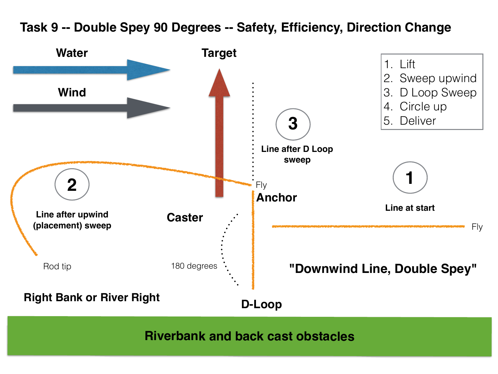### **Task 9 -- Double Spey 90 Degrees -- Safety, Efficiency, Direction Change**

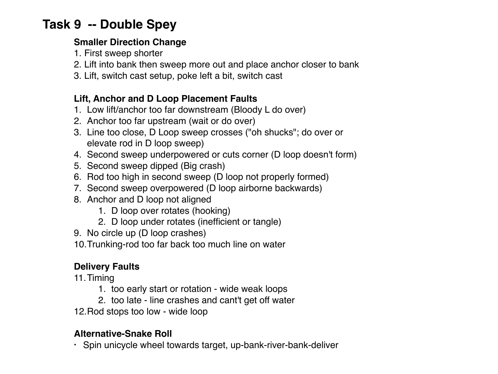### **Task 9 -- Double Spey**

#### **Smaller Direction Change**

- 1. First sweep shorter
- 2. Lift into bank then sweep more out and place anchor closer to bank
- 3. Lift, switch cast setup, poke left a bit, switch cast

#### **Lift, Anchor and D Loop Placement Faults**

- 1. Low lift/anchor too far downstream (Bloody L do over)
- 2. Anchor too far upstream (wait or do over)
- 3. Line too close, D Loop sweep crosses ("oh shucks"; do over or elevate rod in D loop sweep)
- 4. Second sweep underpowered or cuts corner (D loop doesn't form)
- 5. Second sweep dipped (Big crash)
- 6. Rod too high in second sweep (D loop not properly formed)
- 7. Second sweep overpowered (D loop airborne backwards)
- 8. Anchor and D loop not aligned
	- 1. D loop over rotates (hooking)
	- 2. D loop under rotates (inefficient or tangle)
- 9. No circle up (D loop crashes)
- 10.Trunking-rod too far back too much line on water

#### **Delivery Faults**

11.Timing

- 1. too early start or rotation wide weak loops
- 2. too late line crashes and cant't get off water
- 12.Rod stops too low wide loop

#### **Alternative-Snake Roll**

**•** Spin unicycle wheel towards target, up-bank-river-bank-deliver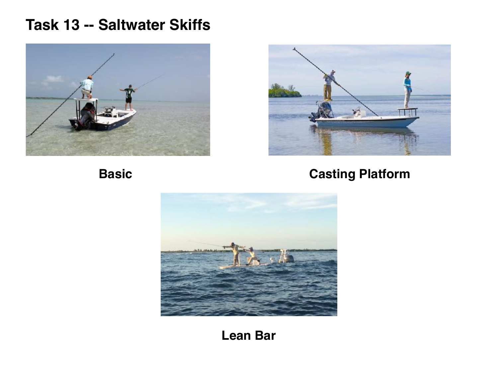### **Task 13 -- Saltwater Skiffs**





### **Basic Casting Platform**



**Lean Bar**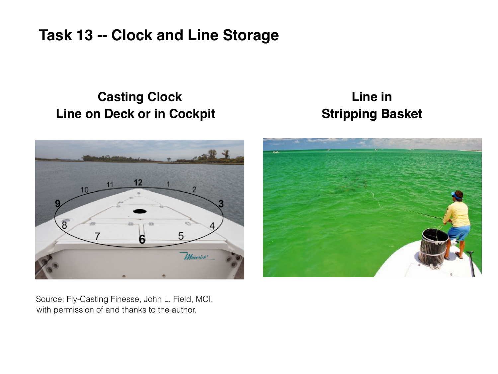### **Task 13 -- Clock and Line Storage**

### **Casting Clock Line on Deck or in Cockpit Stripping Basket**

# **Line in**



Source: Fly-Casting Finesse, John L. Field, MCI, with permission of and thanks to the author.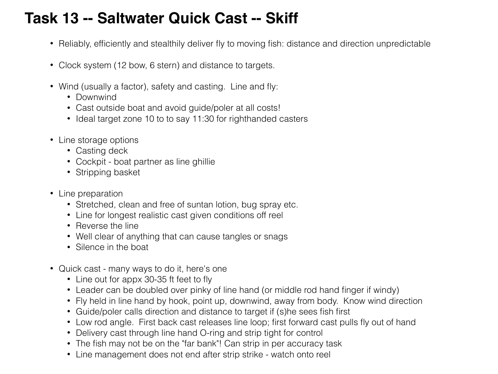### **Task 13 -- Saltwater Quick Cast -- Skiff**

- Reliably, efficiently and stealthily deliver fly to moving fish: distance and direction unpredictable
- Clock system (12 bow, 6 stern) and distance to targets.
- Wind (usually a factor), safety and casting. Line and fly:
	- Downwind
	- Cast outside boat and avoid guide/poler at all costs!
	- Ideal target zone 10 to to say 11:30 for righthanded casters
- Line storage options
	- Casting deck
	- Cockpit boat partner as line ghillie
	- Stripping basket
- Line preparation
	- Stretched, clean and free of suntan lotion, bug spray etc.
	- Line for longest realistic cast given conditions off reel
	- Reverse the line
	- Well clear of anything that can cause tangles or snags
	- Silence in the boat
- Quick cast many ways to do it, here's one
	- Line out for appx 30-35 ft feet to fly
	- Leader can be doubled over pinky of line hand (or middle rod hand finger if windy)
	- Fly held in line hand by hook, point up, downwind, away from body. Know wind direction
	- Guide/poler calls direction and distance to target if (s)he sees fish first
	- Low rod angle. First back cast releases line loop; first forward cast pulls fly out of hand
	- Delivery cast through line hand O-ring and strip tight for control
	- The fish may not be on the "far bank"! Can strip in per accuracy task
	- Line management does not end after strip strike watch onto reel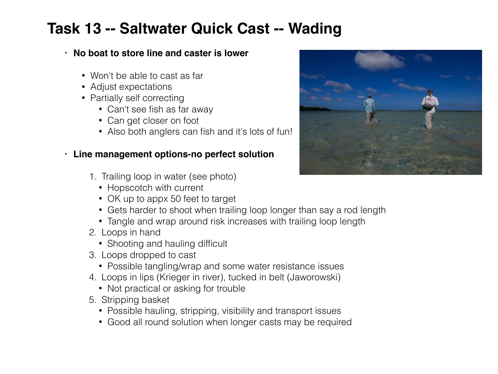### **Task 13 -- Saltwater Quick Cast -- Wading**

#### **• No boat to store line and caster is lower**

- Won't be able to cast as far
- Adjust expectations
- Partially self correcting
	- Can't see fish as far away
	- Can get closer on foot
	- Also both anglers can fish and it's lots of fun!

#### **• Line management options-no perfect solution**

- 1. Trailing loop in water (see photo)
	- Hopscotch with current
	- OK up to appx 50 feet to target
	- Gets harder to shoot when trailing loop longer than say a rod length
	- Tangle and wrap around risk increases with trailing loop length
- 2. Loops in hand
	- Shooting and hauling difficult
- 3. Loops dropped to cast
	- Possible tangling/wrap and some water resistance issues
- 4. Loops in lips (Krieger in river), tucked in belt (Jaworowski)
	- Not practical or asking for trouble
- 5. Stripping basket
	- Possible hauling, stripping, visibility and transport issues
	- Good all round solution when longer casts may be required

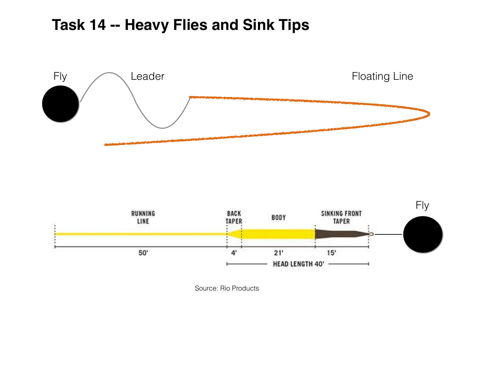### **Task 14 -- Heavy Flies and Sink Tips**





Source: Rio Products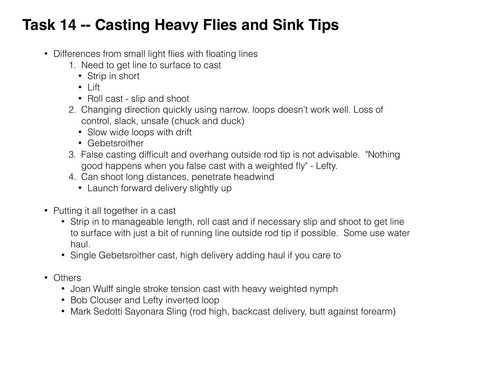### **Task 14 -- Casting Heavy Flies and Sink Tips**

- Differences from small light flies with floating lines
	- 1. Need to get line to surface to cast
		- Strip in short
		- Lift
		- Roll cast slip and shoot
	- 2. Changing direction quickly using narrow. loops doesn't work well. Loss of control, slack, unsafe (chuck and duck)
		- Slow wide loops with drift
		- Gebetsroither
	- 3. False casting difficult and overhang outside rod tip is not advisable. "Nothing good happens when you false cast with a weighted fly" - Lefty.
	- 4. Can shoot long distances, penetrate headwind
		- Launch forward delivery slightly up
- Putting it all together in a cast
	- Strip in to manageable length, roll cast and if necessary slip and shoot to get line to surface with just a bit of running line outside rod tip if possible. Some use water haul.
	- Single Gebetsroither cast, high delivery adding haul if you care to
- Others
	- Joan Wulff single stroke tension cast with heavy weighted nymph
	- Bob Clouser and Lefty inverted loop
	- Mark Sedotti Sayonara Sling (rod high, backcast delivery, butt against forearm)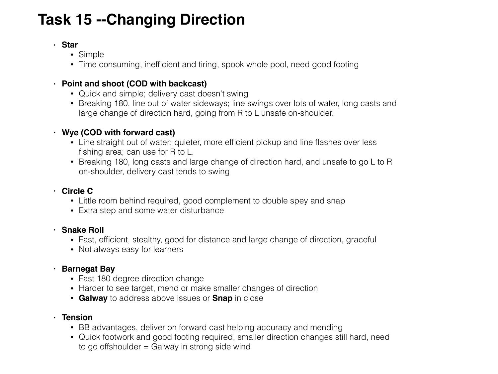### **Task 15 --Changing Direction**

#### **• Star**

- Simple
- Time consuming, inefficient and tiring, spook whole pool, need good footing

#### **• Point and shoot (COD with backcast)**

- Quick and simple; delivery cast doesn't swing
- Breaking 180, line out of water sideways; line swings over lots of water, long casts and large change of direction hard, going from R to L unsafe on-shoulder.

#### **• Wye (COD with forward cast)**

- Line straight out of water: quieter, more efficient pickup and line flashes over less fishing area; can use for R to L.
- Breaking 180, long casts and large change of direction hard, and unsafe to go L to R on-shoulder, delivery cast tends to swing

#### **• Circle C**

- Little room behind required, good complement to double spey and snap
- Extra step and some water disturbance

#### **• Snake Roll**

- Fast, efficient, stealthy, good for distance and large change of direction, graceful
- Not always easy for learners

#### **• Barnegat Bay**

- Fast 180 degree direction change
- Harder to see target, mend or make smaller changes of direction
- **Galway** to address above issues or **Snap** in close

#### **• Tension**

- BB advantages, deliver on forward cast helping accuracy and mending
- Quick footwork and good footing required, smaller direction changes still hard, need to go offshoulder = Galway in strong side wind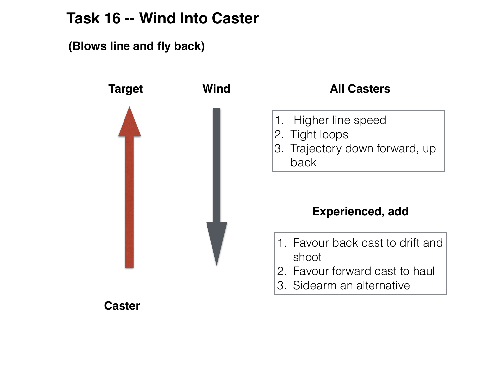### **Task 16 -- Wind Into Caster**

**(Blows line and fly back)**



#### **All Casters**

- 1. Higher line speed
- 2. Tight loops
- 3. Trajectory down forward, up
	- back

### **Experienced, add**

- 1. Favour back cast to drift and shoot
- 2. Favour forward cast to haul
- 3. Sidearm an alternative

**Caster**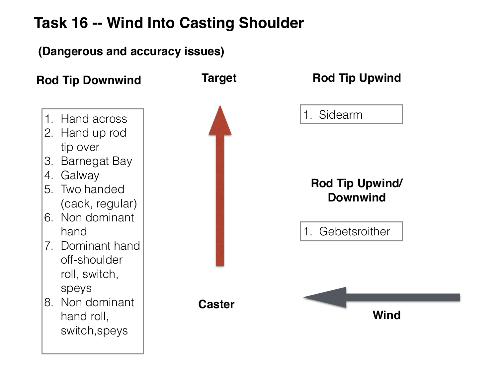### **Task 16 -- Wind Into Casting Shoulder**

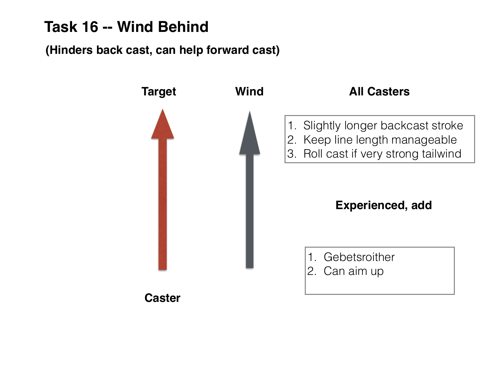### **Task 16 -- Wind Behind**

### **(Hinders back cast, can help forward cast)**

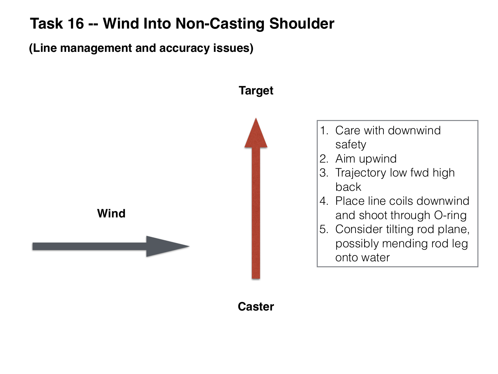### **Task 16 -- Wind Into Non-Casting Shoulder**

**(Line management and accuracy issues)**



**Caster**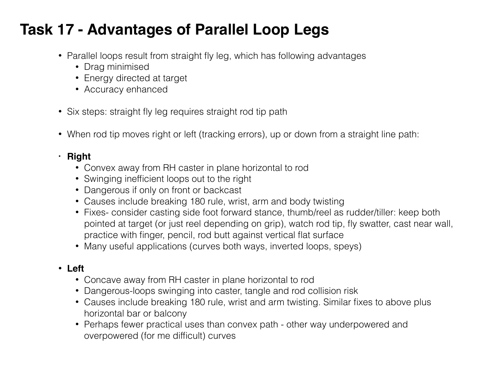### **Task 17 - Advantages of Parallel Loop Legs**

- Parallel loops result from straight fly leg, which has following advantages
	- Drag minimised
	- Energy directed at target
	- Accuracy enhanced
- Six steps: straight fly leg requires straight rod tip path
- When rod tip moves right or left (tracking errors), up or down from a straight line path:

#### **• Right**

- Convex away from RH caster in plane horizontal to rod
- Swinging inefficient loops out to the right
- Dangerous if only on front or backcast
- Causes include breaking 180 rule, wrist, arm and body twisting
- Fixes- consider casting side foot forward stance, thumb/reel as rudder/tiller: keep both pointed at target (or just reel depending on grip), watch rod tip, fly swatter, cast near wall, practice with finger, pencil, rod butt against vertical flat surface
- Many useful applications (curves both ways, inverted loops, speys)

#### • **Left**

- Concave away from RH caster in plane horizontal to rod
- Dangerous-loops swinging into caster, tangle and rod collision risk
- Causes include breaking 180 rule, wrist and arm twisting. Similar fixes to above plus horizontal bar or balcony
- Perhaps fewer practical uses than convex path other way underpowered and overpowered (for me difficult) curves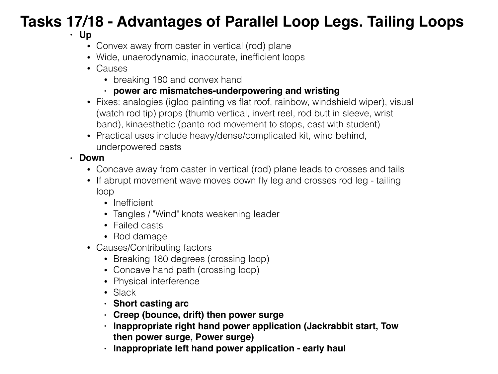## **Tasks 17/18 - Advantages of Parallel Loop Legs. Tailing Loops**

#### **• Up**

- Convex away from caster in vertical (rod) plane
- Wide, unaerodynamic, inaccurate, inefficient loops
- Causes
	- breaking 180 and convex hand
	- **• power arc mismatches-underpowering and wristing**
- Fixes: analogies (igloo painting vs flat roof, rainbow, windshield wiper), visual (watch rod tip) props (thumb vertical, invert reel, rod butt in sleeve, wrist band), kinaesthetic (panto rod movement to stops, cast with student)
- Practical uses include heavy/dense/complicated kit, wind behind, underpowered casts

#### **• Down**

- Concave away from caster in vertical (rod) plane leads to crosses and tails
- If abrupt movement wave moves down fly leg and crosses rod leg tailing loop
	- Inefficient
	- Tangles / "Wind" knots weakening leader
	- Failed casts
	- Rod damage
- Causes/Contributing factors
	- Breaking 180 degrees (crossing loop)
	- Concave hand path (crossing loop)
	- Physical interference
	- Slack
	- **• Short casting arc**
	- **• Creep (bounce, drift) then power surge**
	- **• Inappropriate right hand power application (Jackrabbit start, Tow then power surge, Power surge)**
	- **• Inappropriate left hand power application early haul**